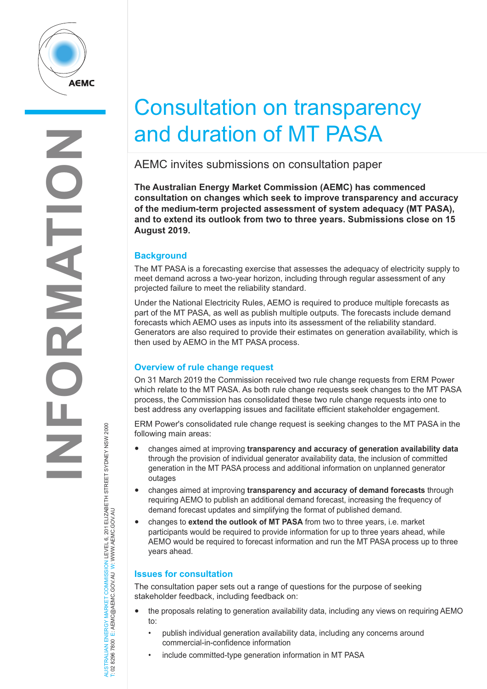

## Consultation on transparency and duration of MT PASA

AEMC invites submissions on consultation paper

**The Australian Energy Market Commission (AEMC) has commenced consultation on changes which seek to improve transparency and accuracy of the medium-term projected assessment of system adequacy (MT PASA), and to extend its outlook from two to three years. Submissions close on 15 August 2019.**

## **Background**

The MT PASA is a forecasting exercise that assesses the adequacy of electricity supply to meet demand across a two-year horizon, including through regular assessment of any projected failure to meet the reliability standard.

Under the National Electricity Rules, AEMO is required to produce multiple forecasts as part of the MT PASA, as well as publish multiple outputs. The forecasts include demand forecasts which AEMO uses as inputs into its assessment of the reliability standard. Generators are also required to provide their estimates on generation availability, which is then used by AEMO in the MT PASA process.

## **Overview of rule change request**

On 31 March 2019 the Commission received two rule change requests from ERM Power which relate to the MT PASA. As both rule change requests seek changes to the MT PASA process, the Commission has consolidated these two rule change requests into one to best address any overlapping issues and facilitate efficient stakeholder engagement.

ERM Power's consolidated rule change request is seeking changes to the MT PASA in the following main areas:

- changes aimed at improving **transparency and accuracy of generation availability data** through the provision of individual generator availability data, the inclusion of committed generation in the MT PASA process and additional information on unplanned generator outages
- changes aimed at improving **transparency and accuracy of demand forecasts** through requiring AEMO to publish an additional demand forecast, increasing the frequency of demand forecast updates and simplifying the format of published demand.
- changes to **extend the outlook of MT PASA** from two to three years, i.e. market participants would be required to provide information for up to three years ahead, while AEMO would be required to forecast information and run the MT PASA process up to three years ahead.

## **Issues for consultation**

The consultation paper sets out a range of questions for the purpose of seeking stakeholder feedback, including feedback on:

- the proposals relating to generation availability data, including any views on requiring AEMO to:
	- publish individual generation availability data, including any concerns around commercial-in-confidence information
	- include committed-type generation information in MT PASA

AUSTRALIAN ENERGY MARKET COMMISSION LEVEL 6, 201 ELIZABETH STREET SYDNEY NSW 2000<br>T: 02 8296 7800 E: AEMC@AEMC.GOVJAU W: WWW.AEMC.GOVJAU AUSTRALIAN ENERGY MARKET COMMISSION LEVEL 6, 201 ELIZABETH STREET SYDNEY NSW 2000 T: 02 8296 7800 E: AEMC@AEMC.GOV.AU W: WWW.AEMC.GOV.AU